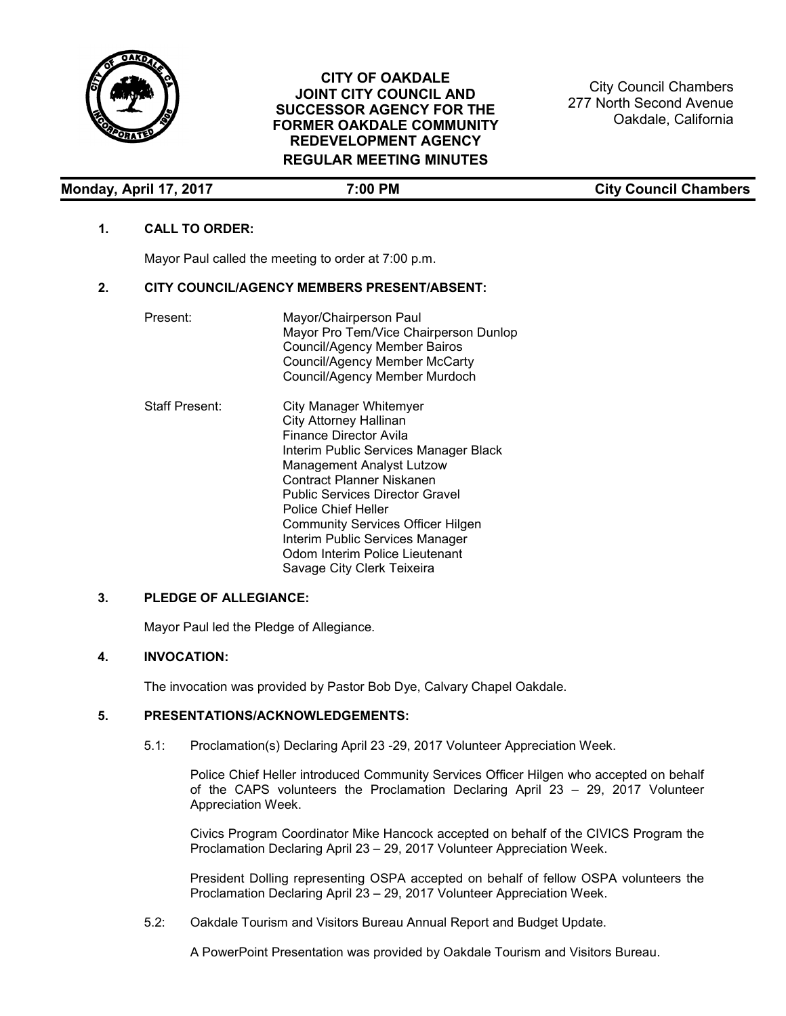

City Council Chambers 277 North Second Avenue Oakdale, California

| Monday, April 17, 2017 | ':00 PM | <b>City Council Chambers</b> |
|------------------------|---------|------------------------------|

# **1. CALL TO ORDER:**

Mayor Paul called the meeting to order at 7:00 p.m.

#### **2. CITY COUNCIL/AGENCY MEMBERS PRESENT/ABSENT:**

| Present:              | Mayor/Chairperson Paul<br>Mayor Pro Tem/Vice Chairperson Dunlop<br><b>Council/Agency Member Bairos</b><br><b>Council/Agency Member McCarty</b><br>Council/Agency Member Murdoch                                                                                                                          |
|-----------------------|----------------------------------------------------------------------------------------------------------------------------------------------------------------------------------------------------------------------------------------------------------------------------------------------------------|
| <b>Staff Present:</b> | City Manager Whitemyer<br><b>City Attorney Hallinan</b><br>Finance Director Avila<br>Interim Public Services Manager Black<br><b>Management Analyst Lutzow</b><br>Contract Planner Niskanen<br><b>Public Services Director Gravel</b><br>Police Chief Heller<br><b>Community Services Officer Hilgen</b> |

## **3. PLEDGE OF ALLEGIANCE:**

Mayor Paul led the Pledge of Allegiance.

# **4. INVOCATION:**

The invocation was provided by Pastor Bob Dye, Calvary Chapel Oakdale.

#### **5. PRESENTATIONS/ACKNOWLEDGEMENTS:**

5.1: Proclamation(s) Declaring April 23 -29, 2017 Volunteer Appreciation Week.

Interim Public Services Manager Odom Interim Police Lieutenant Savage City Clerk Teixeira

Police Chief Heller introduced Community Services Officer Hilgen who accepted on behalf of the CAPS volunteers the Proclamation Declaring April 23 – 29, 2017 Volunteer Appreciation Week.

Civics Program Coordinator Mike Hancock accepted on behalf of the CIVICS Program the Proclamation Declaring April 23 – 29, 2017 Volunteer Appreciation Week.

President Dolling representing OSPA accepted on behalf of fellow OSPA volunteers the Proclamation Declaring April 23 – 29, 2017 Volunteer Appreciation Week.

5.2: Oakdale Tourism and Visitors Bureau Annual Report and Budget Update.

A PowerPoint Presentation was provided by Oakdale Tourism and Visitors Bureau.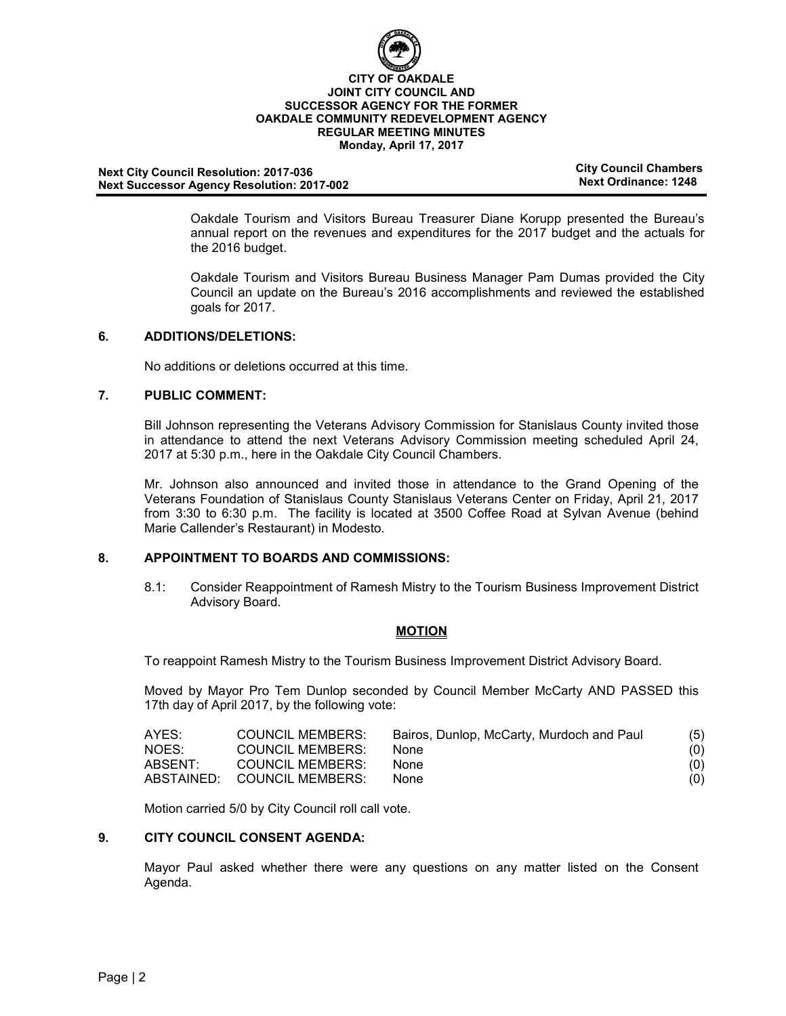

# **Next City Council Resolution: City Council Chambers 2017-036 Next Successor Agency Resolution: 2017-002**

Oakdale Tourism and Visitors Bureau Treasurer Diane Korupp presented the Bureau's annual report on the revenues and expenditures for the 2017 budget and the actuals for the 2016 budget.

Oakdale Tourism and Visitors Bureau Business Manager Pam Dumas provided the City Council an update on the Bureau's 2016 accomplishments and reviewed the established goals for 2017.

## **6. ADDITIONS/DELETIONS:**

No additions or deletions occurred at this time.

# **7. PUBLIC COMMENT:**

Bill Johnson representing the Veterans Advisory Commission for Stanislaus County invited those in attendance to attend the next Veterans Advisory Commission meeting scheduled April 24, 2017 at 5:30 p.m., here in the Oakdale City Council Chambers.

Mr. Johnson also announced and invited those in attendance to the Grand Opening of the Veterans Foundation of Stanislaus County Stanislaus Veterans Center on Friday, April 21, 2017 from 3:30 to 6:30 p.m. The facility is located at 3500 Coffee Road at Sylvan Avenue (behind Marie Callender's Restaurant) in Modesto.

# **8. APPOINTMENT TO BOARDS AND COMMISSIONS:**

8.1: Consider Reappointment of Ramesh Mistry to the Tourism Business Improvement District Advisory Board.

## **MOTION**

To reappoint Ramesh Mistry to the Tourism Business Improvement District Advisory Board.

Moved by Mayor Pro Tem Dunlop seconded by Council Member McCarty AND PASSED this 17th day of April 2017, by the following vote:

| AYES:   | <b>COUNCIL MEMBERS:</b>     | Bairos, Dunlop, McCarty, Murdoch and Paul | (5) |
|---------|-----------------------------|-------------------------------------------|-----|
| NOES:   | <b>COUNCIL MEMBERS:</b>     | None.                                     | (0) |
| ABSENT: | <b>COUNCIL MEMBERS:</b>     | None.                                     | (0) |
|         | ABSTAINED: COUNCIL MEMBERS: | None.                                     | (0) |

Motion carried 5/0 by City Council roll call vote.

## **9. CITY COUNCIL CONSENT AGENDA:**

Mayor Paul asked whether there were any questions on any matter listed on the Consent Agenda.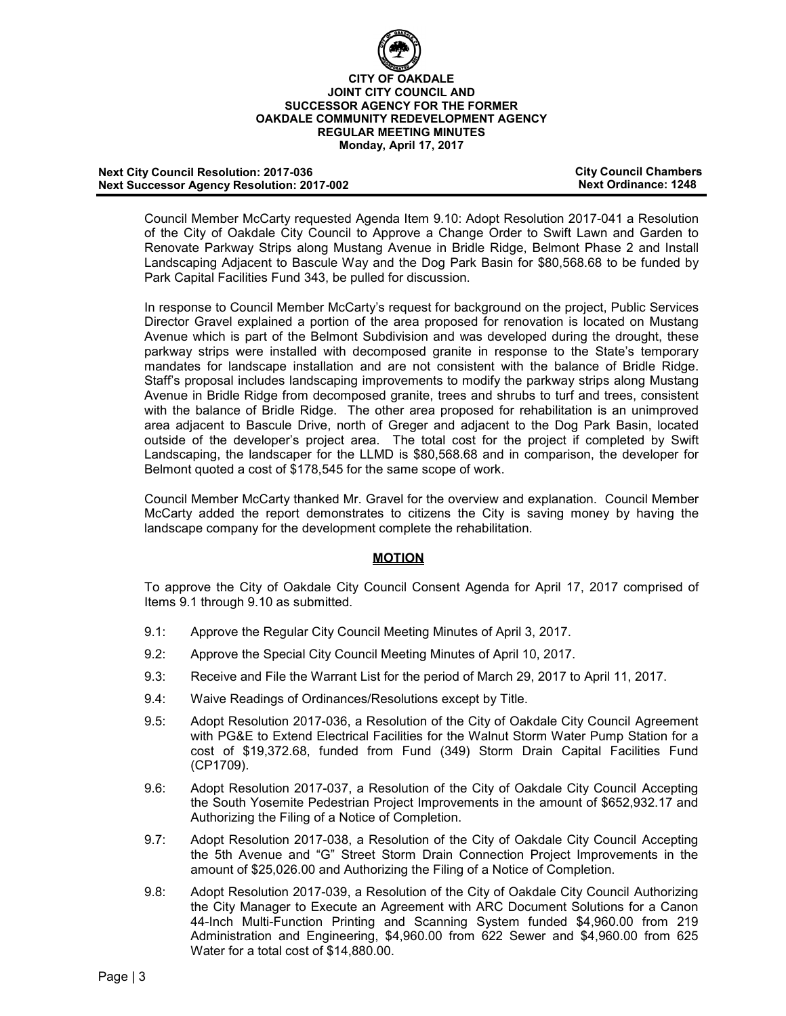

#### **Next City Council Resolution: 2017-036 City Council Chambers Next Successor Agency Resolution: 2017-002**

Council Member McCarty requested Agenda Item 9.10: Adopt Resolution 2017-041 a Resolution of the City of Oakdale City Council to Approve a Change Order to Swift Lawn and Garden to Renovate Parkway Strips along Mustang Avenue in Bridle Ridge, Belmont Phase 2 and Install Landscaping Adjacent to Bascule Way and the Dog Park Basin for \$80,568.68 to be funded by Park Capital Facilities Fund 343, be pulled for discussion.

In response to Council Member McCarty's request for background on the project, Public Services Director Gravel explained a portion of the area proposed for renovation is located on Mustang Avenue which is part of the Belmont Subdivision and was developed during the drought, these parkway strips were installed with decomposed granite in response to the State's temporary mandates for landscape installation and are not consistent with the balance of Bridle Ridge. Staff's proposal includes landscaping improvements to modify the parkway strips along Mustang Avenue in Bridle Ridge from decomposed granite, trees and shrubs to turf and trees, consistent with the balance of Bridle Ridge. The other area proposed for rehabilitation is an unimproved area adjacent to Bascule Drive, north of Greger and adjacent to the Dog Park Basin, located outside of the developer's project area. The total cost for the project if completed by Swift Landscaping, the landscaper for the LLMD is \$80,568.68 and in comparison, the developer for Belmont quoted a cost of \$178,545 for the same scope of work.

Council Member McCarty thanked Mr. Gravel for the overview and explanation. Council Member McCarty added the report demonstrates to citizens the City is saving money by having the landscape company for the development complete the rehabilitation.

# **MOTION**

To approve the City of Oakdale City Council Consent Agenda for April 17, 2017 comprised of Items 9.1 through 9.10 as submitted.

- 9.1: Approve the Regular City Council Meeting Minutes of April 3, 2017.
- 9.2: Approve the Special City Council Meeting Minutes of April 10, 2017.
- 9.3: Receive and File the Warrant List for the period of March 29, 2017 to April 11, 2017.
- 9.4: Waive Readings of Ordinances/Resolutions except by Title.
- 9.5: Adopt Resolution 2017-036, a Resolution of the City of Oakdale City Council Agreement with PG&E to Extend Electrical Facilities for the Walnut Storm Water Pump Station for a cost of \$19,372.68, funded from Fund (349) Storm Drain Capital Facilities Fund (CP1709).
- 9.6: Adopt Resolution 2017-037, a Resolution of the City of Oakdale City Council Accepting the South Yosemite Pedestrian Project Improvements in the amount of \$652,932.17 and Authorizing the Filing of a Notice of Completion.
- 9.7: Adopt Resolution 2017-038, a Resolution of the City of Oakdale City Council Accepting the 5th Avenue and "G" Street Storm Drain Connection Project Improvements in the amount of \$25,026.00 and Authorizing the Filing of a Notice of Completion.
- 9.8: Adopt Resolution 2017-039, a Resolution of the City of Oakdale City Council Authorizing the City Manager to Execute an Agreement with ARC Document Solutions for a Canon 44-Inch Multi-Function Printing and Scanning System funded \$4,960.00 from 219 Administration and Engineering, \$4,960.00 from 622 Sewer and \$4,960.00 from 625 Water for a total cost of \$14,880.00.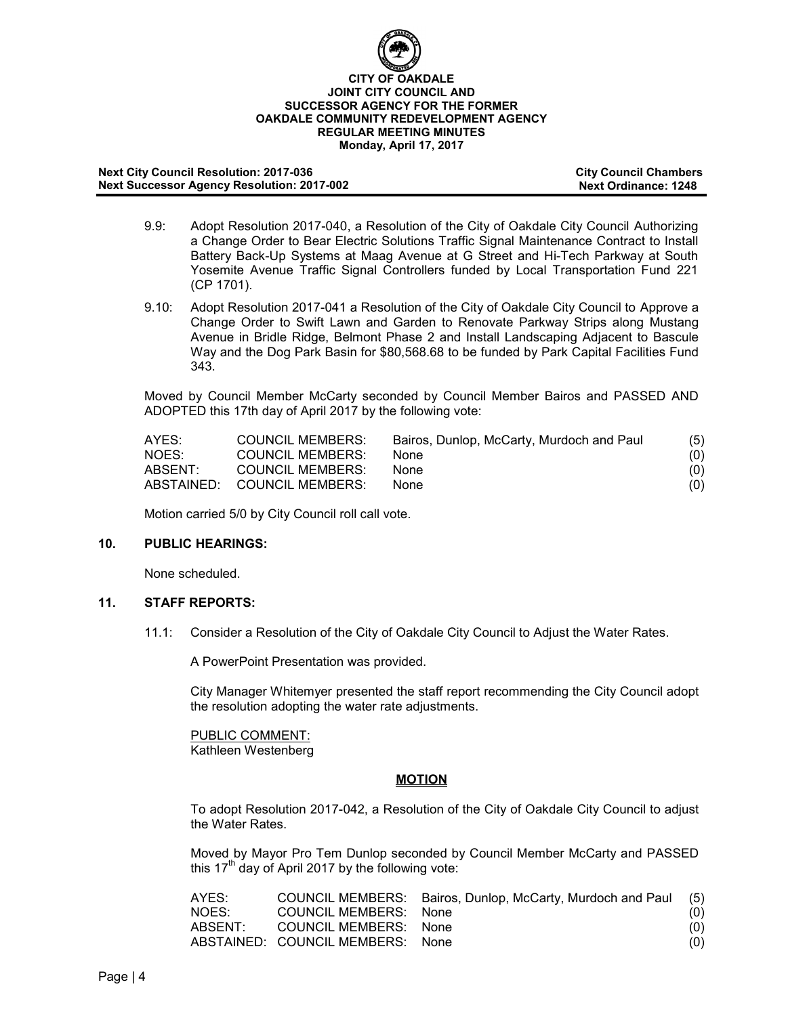

#### **Next City Council Resolution: 2017-036 City Council Chambers Next Successor Agency Resolution: 2017-002**

- 9.9: Adopt Resolution 2017-040, a Resolution of the City of Oakdale City Council Authorizing a Change Order to Bear Electric Solutions Traffic Signal Maintenance Contract to Install Battery Back-Up Systems at Maag Avenue at G Street and Hi-Tech Parkway at South Yosemite Avenue Traffic Signal Controllers funded by Local Transportation Fund 221 (CP 1701).
- 9.10: Adopt Resolution 2017-041 a Resolution of the City of Oakdale City Council to Approve a Change Order to Swift Lawn and Garden to Renovate Parkway Strips along Mustang Avenue in Bridle Ridge, Belmont Phase 2 and Install Landscaping Adjacent to Bascule Way and the Dog Park Basin for \$80,568.68 to be funded by Park Capital Facilities Fund 343.

Moved by Council Member McCarty seconded by Council Member Bairos and PASSED AND ADOPTED this 17th day of April 2017 by the following vote:

| AYES:   | <b>COUNCIL MEMBERS:</b>     | Bairos, Dunlop, McCarty, Murdoch and Paul | (5) |
|---------|-----------------------------|-------------------------------------------|-----|
| NOES:   | <b>COUNCIL MEMBERS:</b>     | None.                                     | (0) |
| ABSENT: | <b>COUNCIL MEMBERS:</b>     | <b>None</b>                               | (0) |
|         | ABSTAINED: COUNCIL MEMBERS: | <b>None</b>                               | (0) |

Motion carried 5/0 by City Council roll call vote.

## **10. PUBLIC HEARINGS:**

None scheduled.

# **11. STAFF REPORTS:**

11.1: Consider a Resolution of the City of Oakdale City Council to Adjust the Water Rates.

A PowerPoint Presentation was provided.

City Manager Whitemyer presented the staff report recommending the City Council adopt the resolution adopting the water rate adjustments.

PUBLIC COMMENT: Kathleen Westenberg

## **MOTION**

To adopt Resolution 2017-042, a Resolution of the City of Oakdale City Council to adjust the Water Rates.

Moved by Mayor Pro Tem Dunlop seconded by Council Member McCarty and PASSED this 17<sup>th</sup> day of April 2017 by the following vote:

| AYES:   |                                  | COUNCIL MEMBERS: Bairos, Dunlop, McCarty, Murdoch and Paul (5) |     |
|---------|----------------------------------|----------------------------------------------------------------|-----|
| NOES:   | COUNCIL MEMBERS: None            |                                                                | (0) |
| ABSENT: | COUNCIL MEMBERS: None            |                                                                | (0) |
|         | ABSTAINED: COUNCIL MEMBERS: None |                                                                | (0) |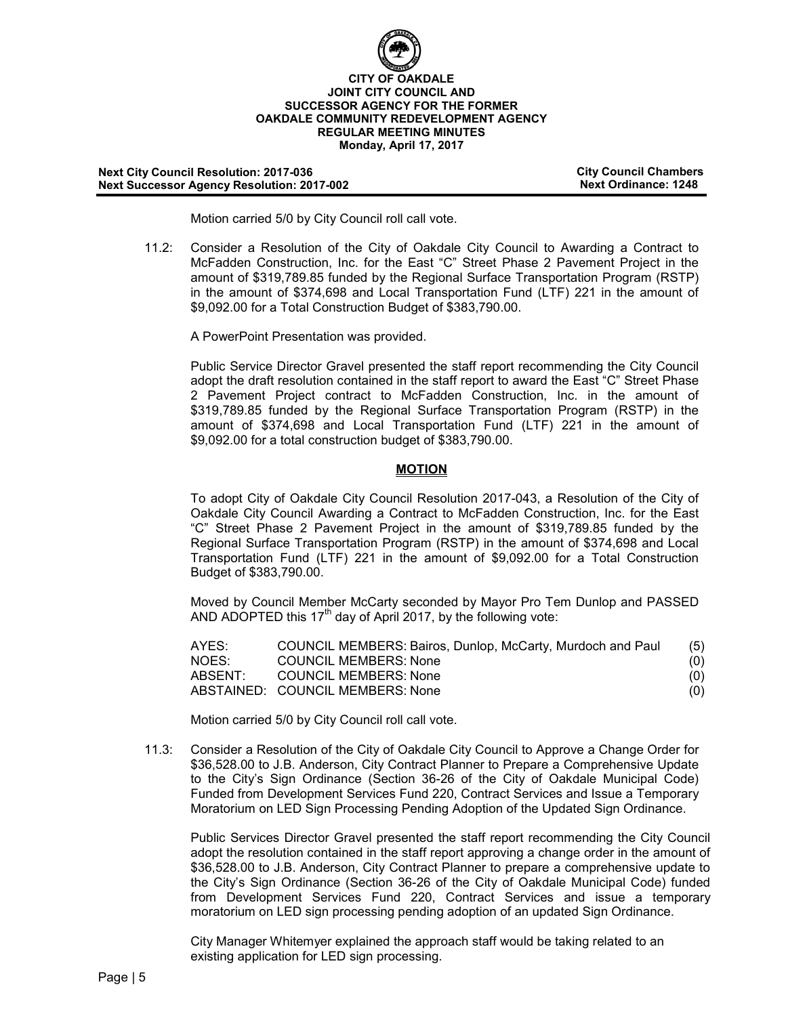

**Next City Council Resolution: 2017-036 City Council Chambers Next Successor Agency Resolution: 2017-002** 

Motion carried 5/0 by City Council roll call vote.

11.2: Consider a Resolution of the City of Oakdale City Council to Awarding a Contract to McFadden Construction, Inc. for the East "C" Street Phase 2 Pavement Project in the amount of \$319,789.85 funded by the Regional Surface Transportation Program (RSTP) in the amount of \$374,698 and Local Transportation Fund (LTF) 221 in the amount of \$9,092.00 for a Total Construction Budget of \$383,790.00.

A PowerPoint Presentation was provided.

Public Service Director Gravel presented the staff report recommending the City Council adopt the draft resolution contained in the staff report to award the East "C" Street Phase 2 Pavement Project contract to McFadden Construction, Inc. in the amount of \$319,789.85 funded by the Regional Surface Transportation Program (RSTP) in the amount of \$374,698 and Local Transportation Fund (LTF) 221 in the amount of \$9,092.00 for a total construction budget of \$383,790.00.

## **MOTION**

To adopt City of Oakdale City Council Resolution 2017-043, a Resolution of the City of Oakdale City Council Awarding a Contract to McFadden Construction, Inc. for the East "C" Street Phase 2 Pavement Project in the amount of \$319,789.85 funded by the Regional Surface Transportation Program (RSTP) in the amount of \$374,698 and Local Transportation Fund (LTF) 221 in the amount of \$9,092.00 for a Total Construction Budget of \$383,790.00.

Moved by Council Member McCarty seconded by Mayor Pro Tem Dunlop and PASSED AND ADOPTED this  $17<sup>th</sup>$  day of April 2017, by the following vote:

| AYES:   | COUNCIL MEMBERS: Bairos, Dunlop, McCarty, Murdoch and Paul | (5) |
|---------|------------------------------------------------------------|-----|
| NOES:   | COUNCIL MEMBERS: None                                      | (0) |
| ABSENT: | COUNCIL MEMBERS: None                                      | (0) |
|         | ABSTAINED: COUNCIL MEMBERS: None                           | (0) |

Motion carried 5/0 by City Council roll call vote.

11.3: Consider a Resolution of the City of Oakdale City Council to Approve a Change Order for \$36,528.00 to J.B. Anderson, City Contract Planner to Prepare a Comprehensive Update to the City's Sign Ordinance (Section 36-26 of the City of Oakdale Municipal Code) Funded from Development Services Fund 220, Contract Services and Issue a Temporary Moratorium on LED Sign Processing Pending Adoption of the Updated Sign Ordinance.

Public Services Director Gravel presented the staff report recommending the City Council adopt the resolution contained in the staff report approving a change order in the amount of \$36,528.00 to J.B. Anderson, City Contract Planner to prepare a comprehensive update to the City's Sign Ordinance (Section 36-26 of the City of Oakdale Municipal Code) funded from Development Services Fund 220, Contract Services and issue a temporary moratorium on LED sign processing pending adoption of an updated Sign Ordinance.

City Manager Whitemyer explained the approach staff would be taking related to an existing application for LED sign processing.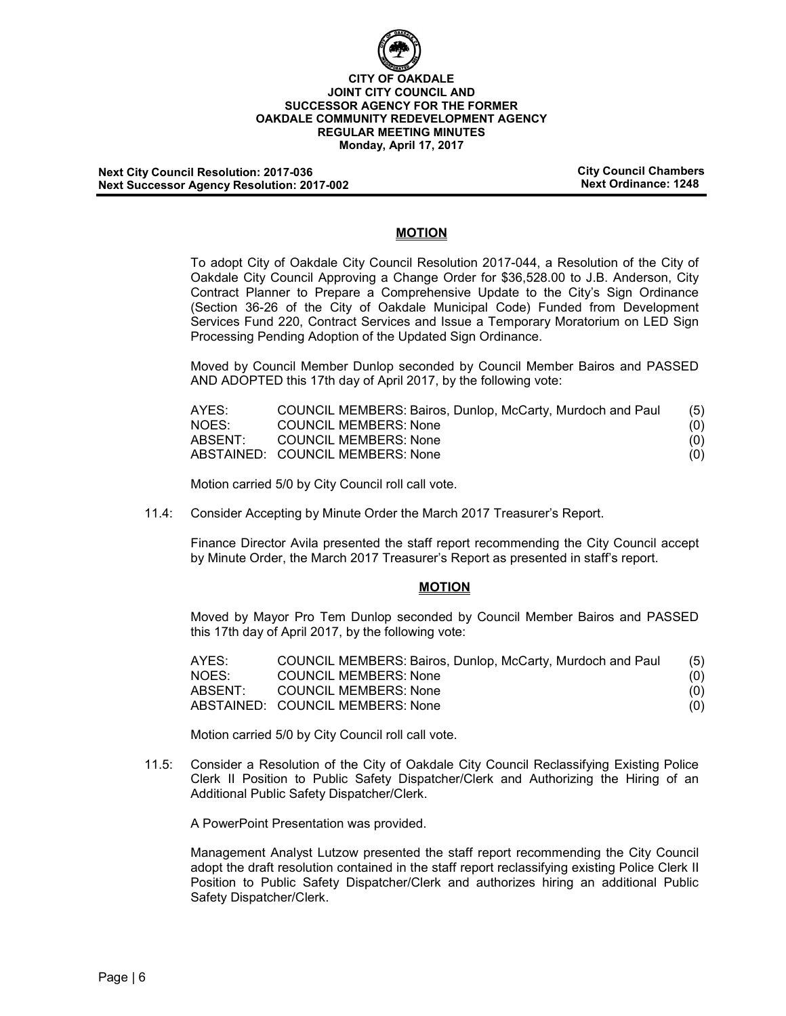

**Next City Council Resolution: 2017-036 City Council Chambers Next Successor Agency Resolution: 2017-002** 

# **MOTION**

To adopt City of Oakdale City Council Resolution 2017-044, a Resolution of the City of Oakdale City Council Approving a Change Order for \$36,528.00 to J.B. Anderson, City Contract Planner to Prepare a Comprehensive Update to the City's Sign Ordinance (Section 36-26 of the City of Oakdale Municipal Code) Funded from Development Services Fund 220, Contract Services and Issue a Temporary Moratorium on LED Sign Processing Pending Adoption of the Updated Sign Ordinance.

Moved by Council Member Dunlop seconded by Council Member Bairos and PASSED AND ADOPTED this 17th day of April 2017, by the following vote:

| AYES:   | COUNCIL MEMBERS: Bairos, Dunlop, McCarty, Murdoch and Paul | (5) |
|---------|------------------------------------------------------------|-----|
| NOES:   | COUNCIL MEMBERS: None                                      | (0) |
| ABSENT: | COUNCIL MEMBERS: None                                      | (0) |
|         | ABSTAINED: COUNCIL MEMBERS: None                           | (0) |

Motion carried 5/0 by City Council roll call vote.

11.4: Consider Accepting by Minute Order the March 2017 Treasurer's Report.

Finance Director Avila presented the staff report recommending the City Council accept by Minute Order, the March 2017 Treasurer's Report as presented in staff's report.

#### **MOTION**

Moved by Mayor Pro Tem Dunlop seconded by Council Member Bairos and PASSED this 17th day of April 2017, by the following vote:

| AYES:   | COUNCIL MEMBERS: Bairos, Dunlop, McCarty, Murdoch and Paul | (5) |
|---------|------------------------------------------------------------|-----|
| NOES:   | <b>COUNCIL MEMBERS: None</b>                               | (0) |
| ABSENT: | <b>COUNCIL MEMBERS: None</b>                               | (0) |
|         | ABSTAINED: COUNCIL MEMBERS: None                           | (0) |

Motion carried 5/0 by City Council roll call vote.

11.5: Consider a Resolution of the City of Oakdale City Council Reclassifying Existing Police Clerk II Position to Public Safety Dispatcher/Clerk and Authorizing the Hiring of an Additional Public Safety Dispatcher/Clerk.

A PowerPoint Presentation was provided.

Management Analyst Lutzow presented the staff report recommending the City Council adopt the draft resolution contained in the staff report reclassifying existing Police Clerk II Position to Public Safety Dispatcher/Clerk and authorizes hiring an additional Public Safety Dispatcher/Clerk.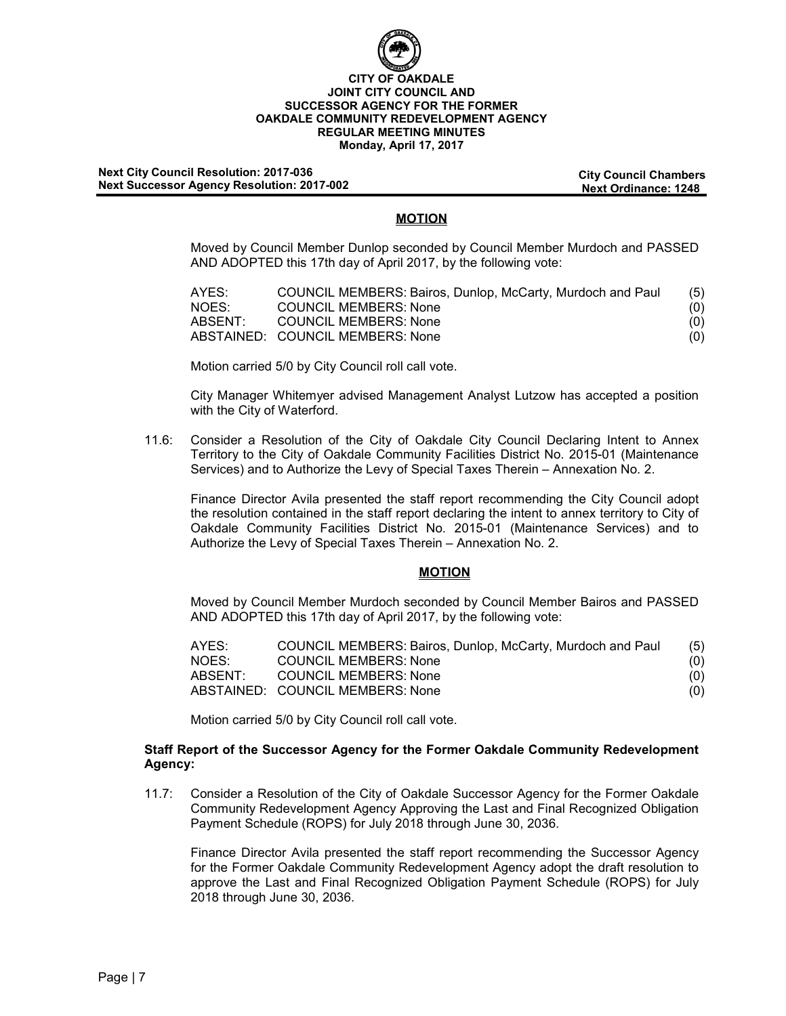

#### **Next City Council Resolution: City Council Chambers 2017-036 Next Successor Agency Resolution: 2017-002**

# **MOTION**

Moved by Council Member Dunlop seconded by Council Member Murdoch and PASSED AND ADOPTED this 17th day of April 2017, by the following vote:

| AYES:   | COUNCIL MEMBERS: Bairos, Dunlop, McCarty, Murdoch and Paul | (5) |
|---------|------------------------------------------------------------|-----|
| NOES:   | <b>COUNCIL MEMBERS: None</b>                               | (0) |
| ABSENT: | <b>COUNCIL MEMBERS: None</b>                               | (0) |
|         | ABSTAINED: COUNCIL MEMBERS: None                           | (0) |

Motion carried 5/0 by City Council roll call vote.

City Manager Whitemyer advised Management Analyst Lutzow has accepted a position with the City of Waterford.

11.6: Consider a Resolution of the City of Oakdale City Council Declaring Intent to Annex Territory to the City of Oakdale Community Facilities District No. 2015-01 (Maintenance Services) and to Authorize the Levy of Special Taxes Therein – Annexation No. 2.

Finance Director Avila presented the staff report recommending the City Council adopt the resolution contained in the staff report declaring the intent to annex territory to City of Oakdale Community Facilities District No. 2015-01 (Maintenance Services) and to Authorize the Levy of Special Taxes Therein – Annexation No. 2.

## **MOTION**

Moved by Council Member Murdoch seconded by Council Member Bairos and PASSED AND ADOPTED this 17th day of April 2017, by the following vote:

| AYES:   | COUNCIL MEMBERS: Bairos, Dunlop, McCarty, Murdoch and Paul | (5) |
|---------|------------------------------------------------------------|-----|
| NOES:   | <b>COUNCIL MEMBERS: None</b>                               | (0) |
| ABSENT: | <b>COUNCIL MEMBERS: None</b>                               | (0) |
|         | ABSTAINED: COUNCIL MEMBERS: None                           | (0) |

Motion carried 5/0 by City Council roll call vote.

## **Staff Report of the Successor Agency for the Former Oakdale Community Redevelopment Agency:**

11.7: Consider a Resolution of the City of Oakdale Successor Agency for the Former Oakdale Community Redevelopment Agency Approving the Last and Final Recognized Obligation Payment Schedule (ROPS) for July 2018 through June 30, 2036.

Finance Director Avila presented the staff report recommending the Successor Agency for the Former Oakdale Community Redevelopment Agency adopt the draft resolution to approve the Last and Final Recognized Obligation Payment Schedule (ROPS) for July 2018 through June 30, 2036.